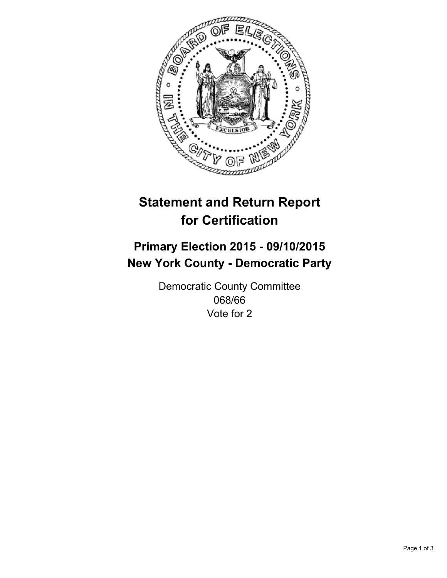

# **Statement and Return Report for Certification**

## **Primary Election 2015 - 09/10/2015 New York County - Democratic Party**

Democratic County Committee 068/66 Vote for 2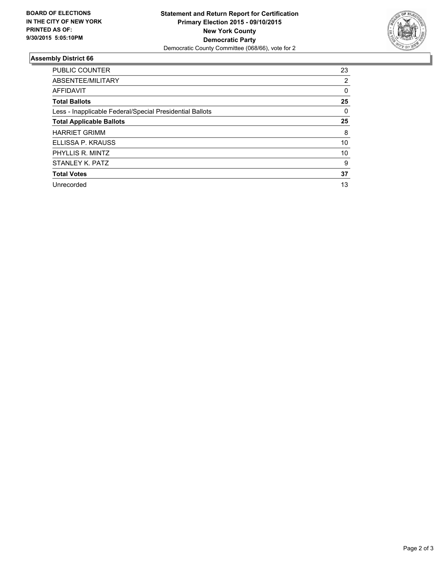

### **Assembly District 66**

| <b>PUBLIC COUNTER</b>                                    | 23 |
|----------------------------------------------------------|----|
| ABSENTEE/MILITARY                                        | 2  |
| <b>AFFIDAVIT</b>                                         | 0  |
| <b>Total Ballots</b>                                     | 25 |
| Less - Inapplicable Federal/Special Presidential Ballots | 0  |
| <b>Total Applicable Ballots</b>                          | 25 |
| <b>HARRIET GRIMM</b>                                     | 8  |
| ELLISSA P. KRAUSS                                        | 10 |
| PHYLLIS R. MINTZ                                         | 10 |
| STANLEY K. PATZ                                          | 9  |
| <b>Total Votes</b>                                       | 37 |
| Unrecorded                                               | 13 |